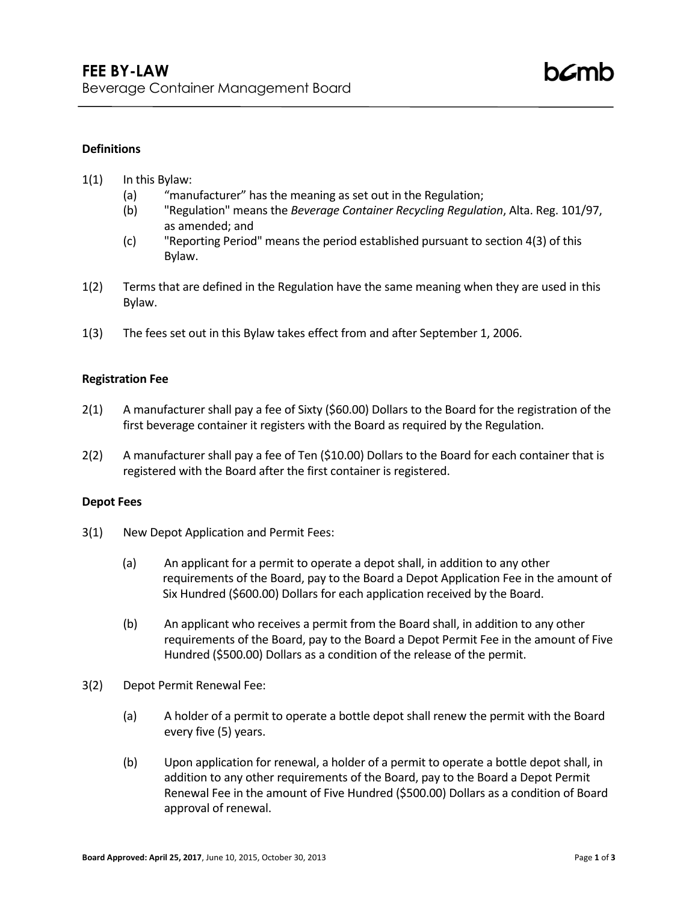# **Definitions**

### 1(1) In this Bylaw:

- (a) "manufacturer" has the meaning as set out in the Regulation;
- (b) "Regulation" means the *Beverage Container Recycling Regulation*, Alta. Reg. 101/97, as amended; and
- (c) "Reporting Period" means the period established pursuant to section 4(3) of this Bylaw.
- 1(2) Terms that are defined in the Regulation have the same meaning when they are used in this Bylaw.
- 1(3) The fees set out in this Bylaw takes effect from and after September 1, 2006.

#### **Registration Fee**

- 2(1) A manufacturer shall pay a fee of Sixty (\$60.00) Dollars to the Board for the registration of the first beverage container it registers with the Board as required by the Regulation.
- 2(2) A manufacturer shall pay a fee of Ten (\$10.00) Dollars to the Board for each container that is registered with the Board after the first container is registered.

#### **Depot Fees**

- 3(1) New Depot Application and Permit Fees:
	- (a) An applicant for a permit to operate a depot shall, in addition to any other requirements of the Board, pay to the Board a Depot Application Fee in the amount of Six Hundred (\$600.00) Dollars for each application received by the Board.
	- (b) An applicant who receives a permit from the Board shall, in addition to any other requirements of the Board, pay to the Board a Depot Permit Fee in the amount of Five Hundred (\$500.00) Dollars as a condition of the release of the permit.
- 3(2) Depot Permit Renewal Fee:
	- (a) A holder of a permit to operate a bottle depot shall renew the permit with the Board every five (5) years.
	- (b) Upon application for renewal, a holder of a permit to operate a bottle depot shall, in addition to any other requirements of the Board, pay to the Board a Depot Permit Renewal Fee in the amount of Five Hundred (\$500.00) Dollars as a condition of Board approval of renewal.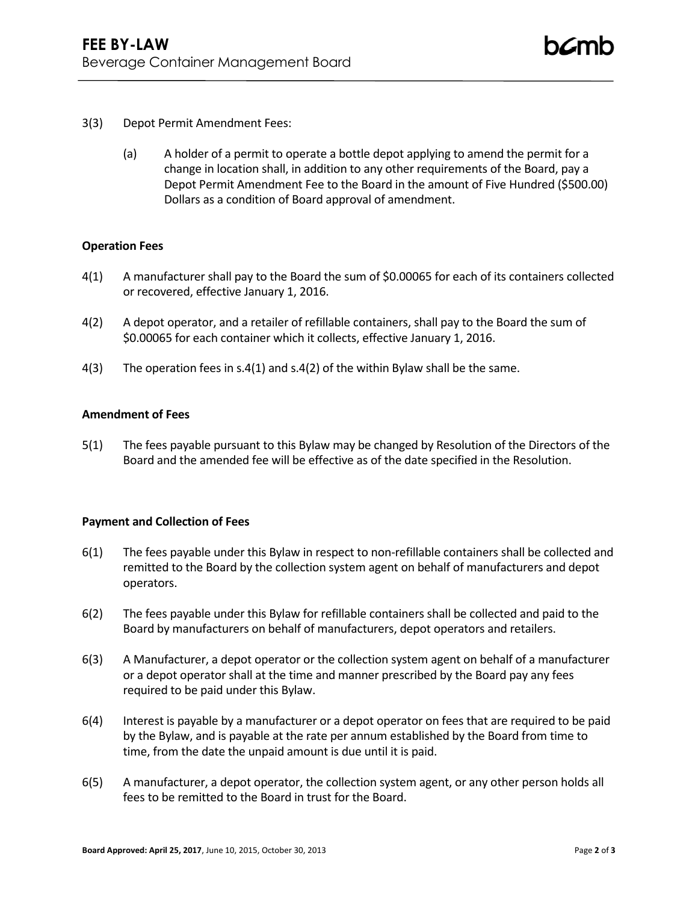- 3(3) Depot Permit Amendment Fees:
	- (a) A holder of a permit to operate a bottle depot applying to amend the permit for a change in location shall, in addition to any other requirements of the Board, pay a Depot Permit Amendment Fee to the Board in the amount of Five Hundred (\$500.00) Dollars as a condition of Board approval of amendment.

### **Operation Fees**

- 4(1) A manufacturer shall pay to the Board the sum of \$0.00065 for each of its containers collected or recovered, effective January 1, 2016.
- 4(2) A depot operator, and a retailer of refillable containers, shall pay to the Board the sum of \$0.00065 for each container which it collects, effective January 1, 2016.
- 4(3) The operation fees in s.4(1) and s.4(2) of the within Bylaw shall be the same.

## **Amendment of Fees**

5(1) The fees payable pursuant to this Bylaw may be changed by Resolution of the Directors of the Board and the amended fee will be effective as of the date specified in the Resolution.

#### **Payment and Collection of Fees**

- 6(1) The fees payable under this Bylaw in respect to non-refillable containers shall be collected and remitted to the Board by the collection system agent on behalf of manufacturers and depot operators.
- 6(2) The fees payable under this Bylaw for refillable containers shall be collected and paid to the Board by manufacturers on behalf of manufacturers, depot operators and retailers.
- 6(3) A Manufacturer, a depot operator or the collection system agent on behalf of a manufacturer or a depot operator shall at the time and manner prescribed by the Board pay any fees required to be paid under this Bylaw.
- 6(4) Interest is payable by a manufacturer or a depot operator on fees that are required to be paid by the Bylaw, and is payable at the rate per annum established by the Board from time to time, from the date the unpaid amount is due until it is paid.
- 6(5) A manufacturer, a depot operator, the collection system agent, or any other person holds all fees to be remitted to the Board in trust for the Board.